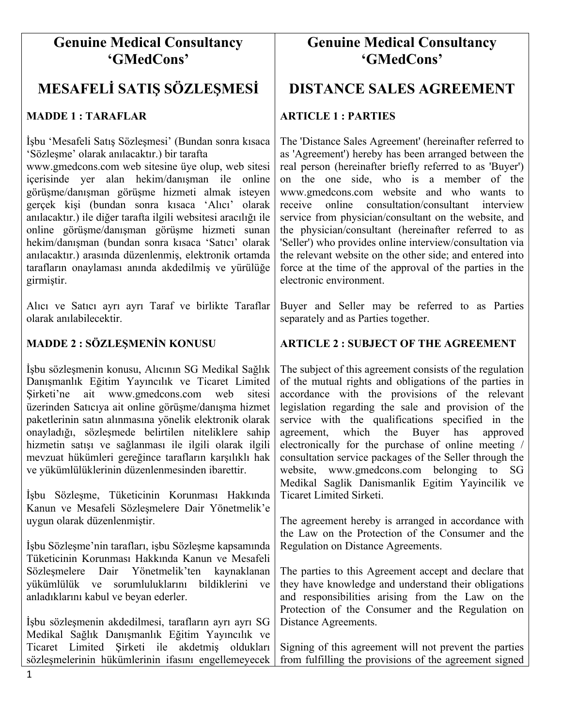# **Genuine Medical Consultancy 'GMedCons'**

# **MESAFELİ SATIŞ SÖZLEŞMESİ**

### **MADDE 1 : TARAFLAR**

İşbu 'Mesafeli Satış Sözleşmesi' (Bundan sonra kısaca 'Sözleşme' olarak anılacaktır.) bir tarafta

www.gmedcons.com web sitesine üye olup, web sitesi içerisinde yer alan hekim/danışman ile online görüşme/danışman görüşme hizmeti almak isteyen gerçek kişi (bundan sonra kısaca 'Alıcı' olarak anılacaktır.) ile diğer tarafta ilgili websitesi aracılığı ile online görüşme/danışman görüşme hizmeti sunan hekim/danışman (bundan sonra kısaca 'Satıcı' olarak anılacaktır.) arasında düzenlenmiş, elektronik ortamda tarafların onaylaması anında akdedilmiş ve yürülüğe girmiştir.

Alıcı ve Satıcı ayrı ayrı Taraf ve birlikte Taraflar olarak anılabilecektir.

#### **MADDE 2 : SÖZLEŞMENİN KONUSU**

İşbu sözleşmenin konusu, Alıcının SG Medikal Sağlık Danışmanlık Eğitim Yayıncılık ve Ticaret Limited Şirketi'ne ait www.gmedcons.com web sitesi üzerinden Satıcıya ait online görüşme/danışma hizmet paketlerinin satın alınmasına yönelik elektronik olarak onayladığı, sözleşmede belirtilen niteliklere sahip hizmetin satışı ve sağlanması ile ilgili olarak ilgili mevzuat hükümleri gereğince tarafların karşılıklı hak ve yükümlülüklerinin düzenlenmesinden ibarettir.

İşbu Sözleşme, Tüketicinin Korunması Hakkında Kanun ve Mesafeli Sözleşmelere Dair Yönetmelik'e uygun olarak düzenlenmiştir.

İşbu Sözleşme'nin tarafları, işbu Sözleşme kapsamında Tüketicinin Korunması Hakkında Kanun ve Mesafeli Sözleşmelere Dair Yönetmelik'ten kaynaklanan yükümlülük ve sorumluluklarını bildiklerini ve anladıklarını kabul ve beyan ederler.

İşbu sözleşmenin akdedilmesi, tarafların ayrı ayrı SG Medikal Sağlık Danışmanlık Eğitim Yayıncılık ve Ticaret Limited Şirketi ile akdetmiş oldukları sözleşmelerinin hükümlerinin ifasını engellemeyecek

# **Genuine Medical Consultancy 'GMedCons'**

## **DISTANCE SALES AGREEMENT**

#### **ARTICLE 1 : PARTIES**

The 'Distance Sales Agreement' (hereinafter referred to as 'Agreement') hereby has been arranged between the real person (hereinafter briefly referred to as 'Buyer') on the one side, who is a member of the www.gmedcons.com website and who wants to receive online consultation/consultant interview service from physician/consultant on the website, and the physician/consultant (hereinafter referred to as 'Seller') who provides online interview/consultation via the relevant website on the other side; and entered into force at the time of the approval of the parties in the electronic environment.

Buyer and Seller may be referred to as Parties separately and as Parties together.

#### **ARTICLE 2 : SUBJECT OF THE AGREEMENT**

The subject of this agreement consists of the regulation of the mutual rights and obligations of the parties in accordance with the provisions of the relevant legislation regarding the sale and provision of the service with the qualifications specified in the agreement, which the Buyer has approved electronically for the purchase of online meeting / consultation service packages of the Seller through the website, www.gmedcons.com belonging to SG Medikal Saglik Danismanlik Egitim Yayincilik ve Ticaret Limited Sirketi.

The agreement hereby is arranged in accordance with the Law on the Protection of the Consumer and the Regulation on Distance Agreements.

The parties to this Agreement accept and declare that they have knowledge and understand their obligations and responsibilities arising from the Law on the Protection of the Consumer and the Regulation on Distance Agreements.

Signing of this agreement will not prevent the parties from fulfilling the provisions of the agreement signed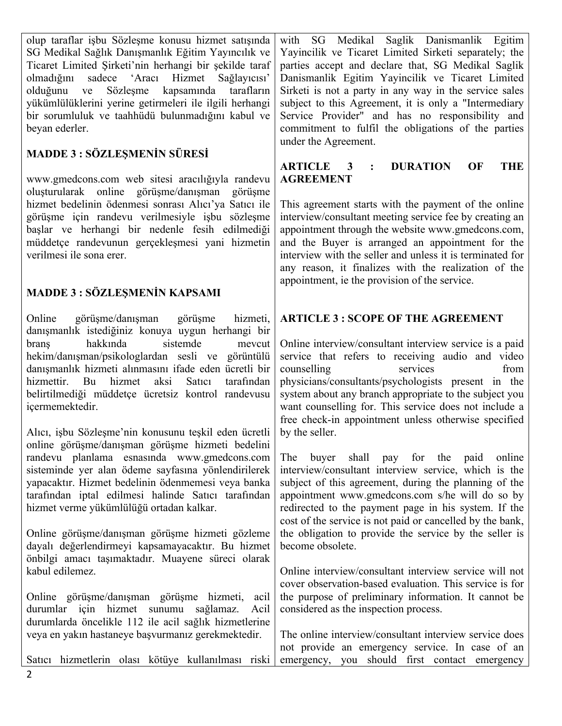olup taraflar işbu Sözleşme konusu hizmet satışında SG Medikal Sağlık Danışmanlık Eğitim Yayıncılık ve Ticaret Limited Şirketi'nin herhangi bir şekilde taraf olmadığını sadece 'Aracı Hizmet Sağlayıcısı' olduğunu ve Sözleşme kapsamında tarafların yükümlülüklerini yerine getirmeleri ile ilgili herhangi bir sorumluluk ve taahhüdü bulunmadığını kabul ve beyan ederler.

### **MADDE 3 : SÖZLEŞMENİN SÜRESİ**

www.gmedcons.com web sitesi aracılığıyla randevu oluşturularak online görüşme/danışman görüşme hizmet bedelinin ödenmesi sonrası Alıcı'ya Satıcı ile görüşme için randevu verilmesiyle işbu sözleşme başlar ve herhangi bir nedenle fesih edilmediği müddetçe randevunun gerçekleşmesi yani hizmetin verilmesi ile sona erer.

### **MADDE 3 : SÖZLEŞMENİN KAPSAMI**

Online görüşme/danışman görüşme hizmeti, danışmanlık istediğiniz konuya uygun herhangi bir branş hakkında sistemde mevcut hekim/danışman/psikologlardan sesli ve görüntülü danışmanlık hizmeti alınmasını ifade eden ücretli bir hizmettir. Bu hizmet aksi Satıcı tarafından belirtilmediği müddetçe ücretsiz kontrol randevusu içermemektedir.

Alıcı, işbu Sözleşme'nin konusunu teşkil eden ücretli online görüşme/danışman görüşme hizmeti bedelini randevu planlama esnasında www.gmedcons.com sisteminde yer alan ödeme sayfasına yönlendirilerek yapacaktır. Hizmet bedelinin ödenmemesi veya banka tarafından iptal edilmesi halinde Satıcı tarafından hizmet verme yükümlülüğü ortadan kalkar.

Online görüşme/danışman görüşme hizmeti gözleme dayalı değerlendirmeyi kapsamayacaktır. Bu hizmet önbilgi amacı taşımaktadır. Muayene süreci olarak kabul edilemez.

Online görüşme/danışman görüşme hizmeti, acil durumlar için hizmet sunumu sağlamaz. Acil durumlarda öncelikle 112 ile acil sağlık hizmetlerine veya en yakın hastaneye başvurmanız gerekmektedir.

Satıcı hizmetlerin olası kötüye kullanılması riski

with SG Medikal Saglik Danismanlik Egitim Yayincilik ve Ticaret Limited Sirketi separately; the parties accept and declare that, SG Medikal Saglik Danismanlik Egitim Yayincilik ve Ticaret Limited Sirketi is not a party in any way in the service sales subject to this Agreement, it is only a "Intermediary Service Provider" and has no responsibility and commitment to fulfil the obligations of the parties under the Agreement.

#### **ARTICLE 3 : DURATION OF THE AGREEMENT**

This agreement starts with the payment of the online interview/consultant meeting service fee by creating an appointment through the website www.gmedcons.com, and the Buyer is arranged an appointment for the interview with the seller and unless it is terminated for any reason, it finalizes with the realization of the appointment, ie the provision of the service.

#### **ARTICLE 3 : SCOPE OF THE AGREEMENT**

Online interview/consultant interview service is a paid service that refers to receiving audio and video counselling services from physicians/consultants/psychologists present in the system about any branch appropriate to the subject you want counselling for. This service does not include a free check-in appointment unless otherwise specified by the seller.

The buyer shall pay for the paid online interview/consultant interview service, which is the subject of this agreement, during the planning of the appointment www.gmedcons.com s/he will do so by redirected to the payment page in his system. If the cost of the service is not paid or cancelled by the bank, the obligation to provide the service by the seller is become obsolete.

Online interview/consultant interview service will not cover observation-based evaluation. This service is for the purpose of preliminary information. It cannot be considered as the inspection process.

The online interview/consultant interview service does not provide an emergency service. In case of an emergency, you should first contact emergency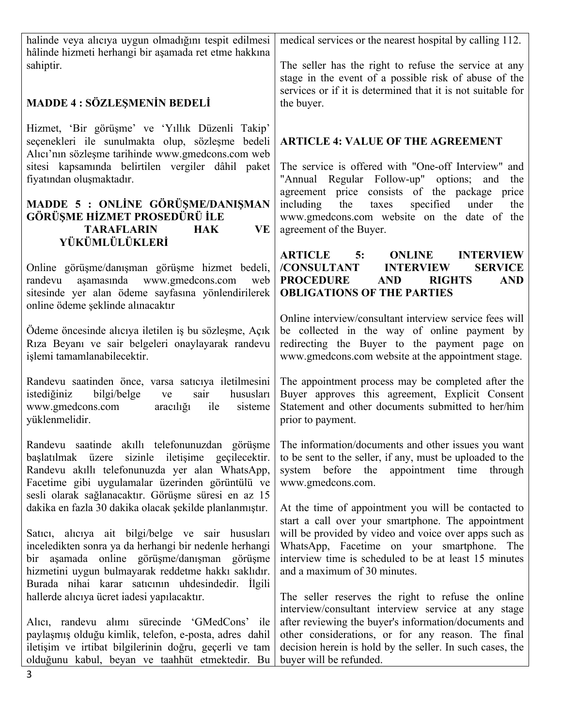| halinde veya alıcıya uygun olmadığını tespit edilmesi<br>hâlinde hizmeti herhangi bir aşamada ret etme hakkına                                                                                                                                                                                                                    | medical services or the nearest hospital by calling 112.                                                                                                                                                                                                                                                         |
|-----------------------------------------------------------------------------------------------------------------------------------------------------------------------------------------------------------------------------------------------------------------------------------------------------------------------------------|------------------------------------------------------------------------------------------------------------------------------------------------------------------------------------------------------------------------------------------------------------------------------------------------------------------|
| sahiptir.                                                                                                                                                                                                                                                                                                                         | The seller has the right to refuse the service at any<br>stage in the event of a possible risk of abuse of the<br>services or if it is determined that it is not suitable for                                                                                                                                    |
| <b>MADDE 4: SÖZLEŞMENİN BEDELİ</b>                                                                                                                                                                                                                                                                                                | the buyer.                                                                                                                                                                                                                                                                                                       |
| Hizmet, 'Bir görüşme' ve 'Yıllık Düzenli Takip'<br>seçenekleri ile sunulmakta olup, sözleşme bedeli<br>Alıcı'nın sözleşme tarihinde www.gmedcons.com web<br>sitesi kapsamında belirtilen vergiler dâhil paket<br>fiyatından oluşmaktadır.                                                                                         | <b>ARTICLE 4: VALUE OF THE AGREEMENT</b><br>The service is offered with "One-off Interview" and<br>"Annual Regular Follow-up" options; and<br>the                                                                                                                                                                |
| MADDE 5 : ONLINE GÖRÜŞME/DANIŞMAN<br>GÖRÜŞME HİZMET PROSEDÜRÜ İLE<br><b>TARAFLARIN</b><br><b>HAK</b><br>VE<br>YÜKÜMLÜLÜKLERİ                                                                                                                                                                                                      | agreement price consists of the package price<br>including<br>the<br>taxes<br>specified<br>under<br>the<br>www.gmedcons.com website on the date of the<br>agreement of the Buyer.                                                                                                                                |
| Online görüşme/danışman görüşme hizmet bedeli,<br>aşamasında www.gmedcons.com<br>randevu<br>web<br>sitesinde yer alan ödeme sayfasına yönlendirilerek<br>online ödeme şeklinde alınacaktır                                                                                                                                        | <b>ARTICLE</b><br><b>ONLINE</b><br><b>INTERVIEW</b><br>5:<br>/CONSULTANT<br><b>INTERVIEW</b><br><b>SERVICE</b><br><b>PROCEDURE</b><br><b>RIGHTS</b><br><b>AND</b><br><b>AND</b><br><b>OBLIGATIONS OF THE PARTIES</b>                                                                                             |
| Ödeme öncesinde alıcıya iletilen iş bu sözleşme, Açık<br>Rıza Beyanı ve sair belgeleri onaylayarak randevu<br>işlemi tamamlanabilecektir.                                                                                                                                                                                         | Online interview/consultant interview service fees will<br>be collected in the way of online payment by<br>redirecting the Buyer to the payment page on<br>www.gmedcons.com website at the appointment stage.                                                                                                    |
| Randevu saatinden önce, varsa satıcıya iletilmesini<br>istediğiniz bilgi/belge<br>hususları<br>sair<br>ve<br>www.gmedcons.com<br>aracılığı<br>ile<br>sisteme<br>yüklenmelidir.                                                                                                                                                    | The appointment process may be completed after the<br>Buyer approves this agreement, Explicit Consent<br>Statement and other documents submitted to her/him<br>prior to payment.                                                                                                                                 |
| Randevu saatinde akıllı telefonunuzdan görüşme<br>başlatılmak üzere sizinle iletişime geçilecektir.<br>Randevu akıllı telefonunuzda yer alan WhatsApp,<br>Facetime gibi uygulamalar üzerinden görüntülü ve<br>sesli olarak sağlanacaktır. Görüşme süresi en az 15                                                                 | The information/documents and other issues you want<br>to be sent to the seller, if any, must be uploaded to the<br>system before the appointment time<br>through<br>www.gmedcons.com.                                                                                                                           |
| dakika en fazla 30 dakika olacak şekilde planlanmıştır.<br>Satici, aliciya ait bilgi/belge ve sair hususlari<br>inceledikten sonra ya da herhangi bir nedenle herhangi<br>bir aşamada online görüşme/danışman görüşme<br>hizmetini uygun bulmayarak reddetme hakkı saklıdır.<br>Burada nihai karar satıcının uhdesindedir. İlgili | At the time of appointment you will be contacted to<br>start a call over your smartphone. The appointment<br>will be provided by video and voice over apps such as<br>WhatsApp, Facetime on your smartphone. The<br>interview time is scheduled to be at least 15 minutes<br>and a maximum of 30 minutes.        |
| hallerde alıcıya ücret iadesi yapılacaktır.<br>Alici, randevu alimi sürecinde 'GMedCons'<br>ile<br>paylaşmış olduğu kimlik, telefon, e-posta, adres dahil<br>iletişim ve irtibat bilgilerinin doğru, geçerli ve tam<br>olduğunu kabul, beyan ve taahhüt etmektedir. Bu<br>3                                                       | The seller reserves the right to refuse the online<br>interview/consultant interview service at any stage<br>after reviewing the buyer's information/documents and<br>other considerations, or for any reason. The final<br>decision herein is hold by the seller. In such cases, the<br>buyer will be refunded. |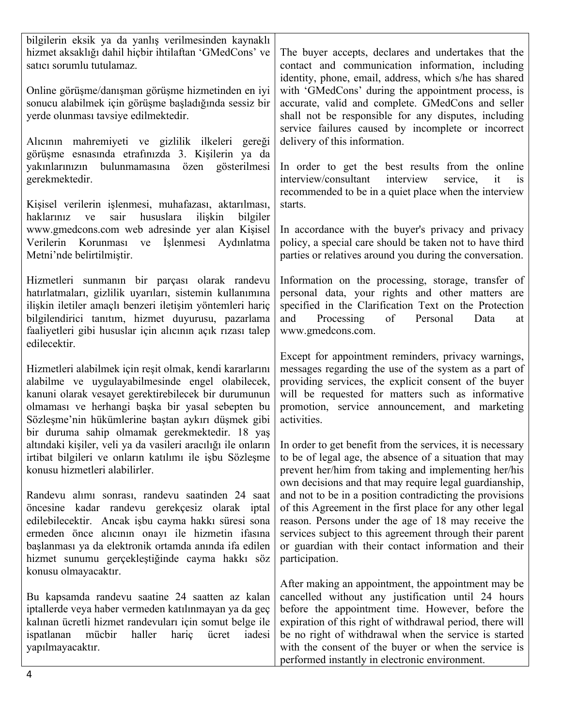| bilgilerin eksik ya da yanlış verilmesinden kaynaklı                                                                                                                                                                                                                                                        |                                                                                                                                                                                                                                                                                                                                                                                               |
|-------------------------------------------------------------------------------------------------------------------------------------------------------------------------------------------------------------------------------------------------------------------------------------------------------------|-----------------------------------------------------------------------------------------------------------------------------------------------------------------------------------------------------------------------------------------------------------------------------------------------------------------------------------------------------------------------------------------------|
| hizmet aksaklığı dahil hiçbir ihtilaftan 'GMedCons' ve<br>satıcı sorumlu tutulamaz.                                                                                                                                                                                                                         | The buyer accepts, declares and undertakes that the<br>contact and communication information, including<br>identity, phone, email, address, which s/he has shared                                                                                                                                                                                                                             |
| Online görüşme/danışman görüşme hizmetinden en iyi<br>sonucu alabilmek için görüşme başladığında sessiz bir<br>yerde olunması tavsiye edilmektedir.                                                                                                                                                         | with 'GMedCons' during the appointment process, is<br>accurate, valid and complete. GMedCons and seller<br>shall not be responsible for any disputes, including<br>service failures caused by incomplete or incorrect                                                                                                                                                                         |
| Alıcının mahremiyeti ve gizlilik ilkeleri gereği<br>görüşme esnasında etrafınızda 3. Kişilerin ya da                                                                                                                                                                                                        | delivery of this information.                                                                                                                                                                                                                                                                                                                                                                 |
| yakınlarınızın bulunmamasına<br>özen gösterilmesi<br>gerekmektedir.                                                                                                                                                                                                                                         | In order to get the best results from the online<br>interview/consultant<br>interview<br>service,<br>it<br>1S<br>recommended to be in a quiet place when the interview                                                                                                                                                                                                                        |
| Kişisel verilerin işlenmesi, muhafazası, aktarılması,<br>hususlara<br>sair<br>ilişkin<br>bilgiler<br>haklarınız<br>ve                                                                                                                                                                                       | starts.                                                                                                                                                                                                                                                                                                                                                                                       |
| www.gmedcons.com web adresinde yer alan Kişisel<br>Verilerin Korunması ve İşlenmesi<br>Aydınlatma<br>Metni'nde belirtilmiştir.                                                                                                                                                                              | In accordance with the buyer's privacy and privacy<br>policy, a special care should be taken not to have third<br>parties or relatives around you during the conversation.                                                                                                                                                                                                                    |
| Hizmetleri sunmanın bir parçası olarak randevu<br>hatırlatmaları, gizlilik uyarıları, sistemin kullanımına<br>ilişkin iletiler amaçlı benzeri iletişim yöntemleri hariç<br>bilgilendirici tanıtım, hizmet duyurusu, pazarlama<br>faaliyetleri gibi hususlar için alıcının açık rızası talep<br>edilecektir. | Information on the processing, storage, transfer of<br>personal data, your rights and other matters are<br>specified in the Clarification Text on the Protection<br>of<br>and<br>Processing<br>Personal<br>Data<br>at<br>www.gmedcons.com.                                                                                                                                                    |
| Hizmetleri alabilmek için reşit olmak, kendi kararlarını                                                                                                                                                                                                                                                    | Except for appointment reminders, privacy warnings,<br>messages regarding the use of the system as a part of                                                                                                                                                                                                                                                                                  |
| alabilme ve uygulayabilmesinde engel olabilecek,<br>kanuni olarak vesayet gerektirebilecek bir durumunun<br>olmaması ve herhangi başka bir yasal sebepten bu<br>Sözleşme'nin hükümlerine baştan aykırı düşmek gibi                                                                                          | providing services, the explicit consent of the buyer<br>will be requested for matters such as informative<br>promotion, service announcement, and marketing<br>activities.                                                                                                                                                                                                                   |
| bir duruma sahip olmamak gerekmektedir. 18 yaş<br>altındaki kişiler, veli ya da vasileri aracılığı ile onların<br>irtibat bilgileri ve onların katılımı ile işbu Sözleşme<br>konusu hizmetleri alabilirler.                                                                                                 | In order to get benefit from the services, it is necessary<br>to be of legal age, the absence of a situation that may<br>prevent her/him from taking and implementing her/his                                                                                                                                                                                                                 |
| Randevu alımı sonrası, randevu saatinden 24 saat<br>öncesine kadar randevu gerekçesiz olarak iptal                                                                                                                                                                                                          | own decisions and that may require legal guardianship,<br>and not to be in a position contradicting the provisions<br>of this Agreement in the first place for any other legal                                                                                                                                                                                                                |
| edilebilecektir. Ancak işbu cayma hakkı süresi sona<br>ermeden önce alıcının onayı ile hizmetin ifasına<br>başlanması ya da elektronik ortamda anında ifa edilen<br>hizmet sunumu gerçekleştiğinde cayma hakkı söz                                                                                          | reason. Persons under the age of 18 may receive the<br>services subject to this agreement through their parent<br>or guardian with their contact information and their<br>participation.                                                                                                                                                                                                      |
| konusu olmayacaktır.<br>Bu kapsamda randevu saatine 24 saatten az kalan<br>iptallerde veya haber vermeden katılınmayan ya da geç<br>kalınan ücretli hizmet randevuları için somut belge ile<br>ispatlanan<br>mücbir<br>haller<br>hariç<br>ücret<br>iadesi<br>yapılmayacaktır.                               | After making an appointment, the appointment may be<br>cancelled without any justification until 24 hours<br>before the appointment time. However, before the<br>expiration of this right of withdrawal period, there will<br>be no right of withdrawal when the service is started<br>with the consent of the buyer or when the service is<br>performed instantly in electronic environment. |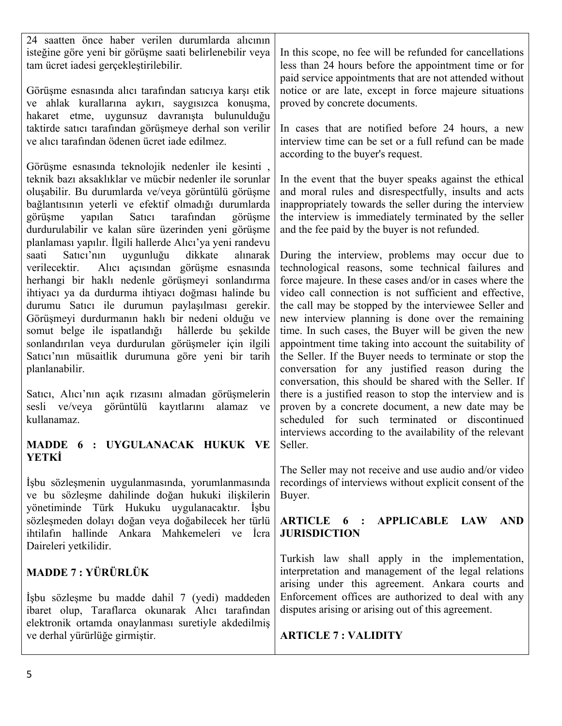| 24 saatten önce haber verilen durumlarda alıcının<br>isteğine göre yeni bir görüşme saati belirlenebilir veya<br>tam ücret iadesi gerçekleştirilebilir.<br>Görüşme esnasında alıcı tarafından satıcıya karşı etik                                                                                                                                                                                                                                                                                                  | In this scope, no fee will be refunded for cancellations<br>less than 24 hours before the appointment time or for<br>paid service appointments that are not attended without<br>notice or are late, except in force majeure situations                                                                                                                                                                                                                                                                                                                                                                                                |
|--------------------------------------------------------------------------------------------------------------------------------------------------------------------------------------------------------------------------------------------------------------------------------------------------------------------------------------------------------------------------------------------------------------------------------------------------------------------------------------------------------------------|---------------------------------------------------------------------------------------------------------------------------------------------------------------------------------------------------------------------------------------------------------------------------------------------------------------------------------------------------------------------------------------------------------------------------------------------------------------------------------------------------------------------------------------------------------------------------------------------------------------------------------------|
| ve ahlak kurallarına aykırı, saygısızca konuşma,<br>hakaret etme, uygunsuz davranışta bulunulduğu                                                                                                                                                                                                                                                                                                                                                                                                                  | proved by concrete documents.                                                                                                                                                                                                                                                                                                                                                                                                                                                                                                                                                                                                         |
| taktirde satıcı tarafından görüşmeye derhal son verilir<br>ve alıcı tarafından ödenen ücret iade edilmez.                                                                                                                                                                                                                                                                                                                                                                                                          | In cases that are notified before 24 hours, a new<br>interview time can be set or a full refund can be made<br>according to the buyer's request.                                                                                                                                                                                                                                                                                                                                                                                                                                                                                      |
| Görüşme esnasında teknolojik nedenler ile kesinti,<br>teknik bazı aksaklıklar ve mücbir nedenler ile sorunlar<br>oluşabilir. Bu durumlarda ve/veya görüntülü görüşme<br>bağlantısının yeterli ve efektif olmadığı durumlarda<br>yapılan<br>Satici<br>tarafından<br>görüşme<br>görüşme<br>durdurulabilir ve kalan süre üzerinden yeni görüşme<br>planlaması yapılır. İlgili hallerde Alıcı'ya yeni randevu                                                                                                          | In the event that the buyer speaks against the ethical<br>and moral rules and disrespectfully, insults and acts<br>inappropriately towards the seller during the interview<br>the interview is immediately terminated by the seller<br>and the fee paid by the buyer is not refunded.                                                                                                                                                                                                                                                                                                                                                 |
| dikkate<br>Satici'nin<br>uygunluğu<br>alınarak<br>saati<br>verilecektir.<br>Alıcı açısından görüşme esnasında<br>herhangi bir haklı nedenle görüşmeyi sonlandırma<br>ihtiyacı ya da durdurma ihtiyacı doğması halinde bu<br>durumu Satıcı ile durumun paylaşılması gerekir.<br>Görüşmeyi durdurmanın haklı bir nedeni olduğu ve<br>somut belge ile ispatlandığı hâllerde bu şekilde<br>sonlandırılan veya durdurulan görüşmeler için ilgili<br>Satıcı'nın müsaitlik durumuna göre yeni bir tarih<br>planlanabilir. | During the interview, problems may occur due to<br>technological reasons, some technical failures and<br>force majeure. In these cases and/or in cases where the<br>video call connection is not sufficient and effective,<br>the call may be stopped by the interviewee Seller and<br>new interview planning is done over the remaining<br>time. In such cases, the Buyer will be given the new<br>appointment time taking into account the suitability of<br>the Seller. If the Buyer needs to terminate or stop the<br>conversation for any justified reason during the<br>conversation, this should be shared with the Seller. If |
| Satıcı, Alıcı'nın açık rızasını almadan görüşmelerin<br>görüntülü<br>kayıtlarını<br>alamaz<br>sesli ve/veya<br>ve<br>kullanamaz.<br>MADDE 6 : UYGULANACAK HUKUK VE                                                                                                                                                                                                                                                                                                                                                 | there is a justified reason to stop the interview and is<br>proven by a concrete document, a new date may be<br>scheduled for such terminated or discontinued<br>interviews according to the availability of the relevant<br>Seller.                                                                                                                                                                                                                                                                                                                                                                                                  |
| YETKİ                                                                                                                                                                                                                                                                                                                                                                                                                                                                                                              |                                                                                                                                                                                                                                                                                                                                                                                                                                                                                                                                                                                                                                       |
| Işbu sözleşmenin uygulanmasında, yorumlanmasında<br>ve bu sözleşme dahilinde doğan hukuki ilişkilerin<br>yönetiminde Türk Hukuku uygulanacaktır. İşbu                                                                                                                                                                                                                                                                                                                                                              | The Seller may not receive and use audio and/or video<br>recordings of interviews without explicit consent of the<br>Buyer.                                                                                                                                                                                                                                                                                                                                                                                                                                                                                                           |
| sözleşmeden dolayı doğan veya doğabilecek her türlü<br>ihtilafin hallinde Ankara Mahkemeleri ve İcra<br>Daireleri yetkilidir.                                                                                                                                                                                                                                                                                                                                                                                      | <b>ARTICLE</b><br>6 : APPLICABLE LAW<br><b>AND</b><br><b>JURISDICTION</b>                                                                                                                                                                                                                                                                                                                                                                                                                                                                                                                                                             |
| <b>MADDE 7 : YÜRÜRLÜK</b>                                                                                                                                                                                                                                                                                                                                                                                                                                                                                          | Turkish law shall apply in the implementation,<br>interpretation and management of the legal relations<br>arising under this agreement. Ankara courts and                                                                                                                                                                                                                                                                                                                                                                                                                                                                             |
| Işbu sözleşme bu madde dahil 7 (yedi) maddeden<br>ibaret olup, Taraflarca okunarak Alıcı tarafından<br>elektronik ortamda onaylanması suretiyle akdedilmiş                                                                                                                                                                                                                                                                                                                                                         | Enforcement offices are authorized to deal with any<br>disputes arising or arising out of this agreement.                                                                                                                                                                                                                                                                                                                                                                                                                                                                                                                             |
| ve derhal yürürlüğe girmiştir.                                                                                                                                                                                                                                                                                                                                                                                                                                                                                     | <b>ARTICLE 7: VALIDITY</b>                                                                                                                                                                                                                                                                                                                                                                                                                                                                                                                                                                                                            |